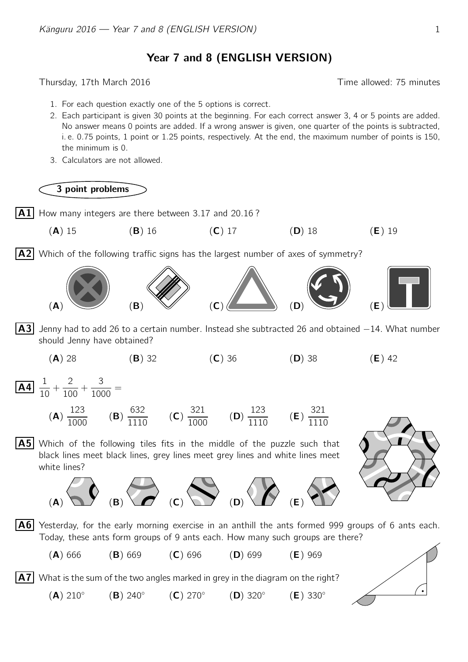## Year 7 and 8 (ENGLISH VERSION)

Thursday, 17th March 2016 Time allowed: 75 minutes

- 1. For each question exactly one of the 5 options is correct.
- 2. Each participant is given 30 points at the beginning. For each correct answer 3, 4 or 5 points are added. No answer means 0 points are added. If a wrong answer is given, one quarter of the points is subtracted, i. e. 0.75 points, 1 point or 1.25 points, respectively. At the end, the maximum number of points is 150, the minimum is 0.
- 3. Calculators are not allowed.

3 point problems

 $|A1|$  How many integers are there between 3.17 and 20.16?



 $\vert$  A2 Which of the following traffic signs has the largest number of axes of symmetry?



- $|\mathbf{A3}|$  Jenny had to add 26 to a certain number. Instead she subtracted 26 and obtained  $-14$ . What number should Jenny have obtained?
	- (A) 28 (B) 32 (C) 36 (D) 38 (E) 42

 $\overline{A4}$   $\overline{1}$  $\frac{1}{10} +$ 2  $\frac{2}{100} +$ 3  $\frac{3}{1000}$  =

 $(A)$  210 $^{\circ}$ 

(A) 123  $\frac{120}{1000}$  (B) 632  $\frac{1110}$  (C) 321  $\frac{0}{1000}$  (D) 123  $\frac{120}{1110}$  (**E**) 321 1110

 $|A5|$  Which of the following tiles fits in the middle of the puzzle such that black lines meet black lines, grey lines meet grey lines and white lines meet white lines?



 $|A6|$  Yesterday, for the early morning exercise in an anthill the ants formed 999 groups of 6 ants each. Today, these ants form groups of 9 ants each. How many such groups are there?

(A) 666 (B) 669 (C) 696 (D) 699 (E) 969

 $(B)$  240 $^{\circ}$ 

 $(E)$  330 $^{\circ}$ 

 $(D)$  320 $^{\circ}$ 

 $|\mathbf{A7}|$  What is the sum of the two angles marked in grey in the diagram on the right?

 $(C)$  270 $^{\circ}$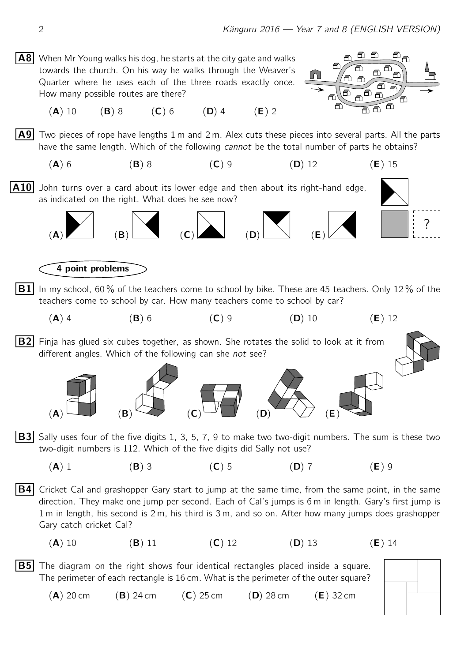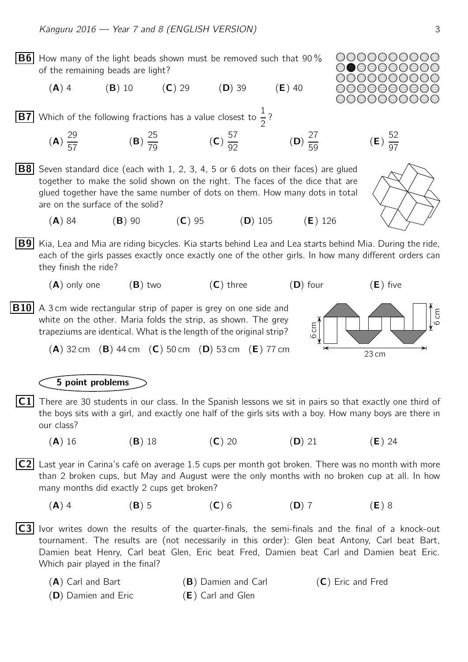**B6** How many of the light beads shown must be removed such that 90  $\%$ of the remaining beads are light?

 $(A)$  4 (B) 10 (C) 29 (D) 39 (E) 40

 $\boxed{\mathbf{B7}}$  Which of the following fractions has a value closest to  $\frac{1}{2}$  ?

- (A) 29 57 (B) 25  $\frac{28}{79}$  (C) 57  $\frac{92}{92}$  (D) (**D**)  $\frac{27}{50}$  $\frac{24}{59}$  (**E**)
- **B8** Seven standard dice (each with 1, 2, 3, 4, 5 or 6 dots on their faces) are glued together to make the solid shown on the right. The faces of the dice that are glued together have the same number of dots on them. How many dots in total are on the surface of the solid?
	- (A) 84 (B) 90 (C) 95 (D) 105 (E) 126
- **B9** Kia, Lea and Mia are riding bicycles. Kia starts behind Lea and Lea starts behind Mia. During the ride, each of the girls passes exactly once exactly one of the other girls. In how many different orders can they finish the ride?
	- $(A)$  only one  $(B)$  two  $(C)$  three  $(D)$  four  $(E)$  five
- **B10** A 3 cm wide rectangular strip of paper is grey on one side and white on the other. Maria folds the strip, as shown. The grey trapeziums are identical. What is the length of the original strip?



## 5 point problems

- $|\mathsf{C1}|$  There are 30 students in our class. In the Spanish lessons we sit in pairs so that exactly one third of the boys sits with a girl, and exactly one half of the girls sits with a boy. How many boys are there in our class?
	- (A) 16 (B) 18 (C) 20 (D) 21 (E) 24

 $|C2|$  Last year in Carina's café on average 1.5 cups per month got broken. There was no month with more than 2 broken cups, but May and August were the only months with no broken cup at all. In how many months did exactly 2 cups get broken?

(A) 4 (B) 5 (C) 6 (D) 7 (E) 8

 $|$  C3 Ivor writes down the results of the quarter-finals, the semi-finals and the final of a knock-out tournament. The results are (not necessarily in this order): Glen beat Antony, Carl beat Bart, Damien beat Henry, Carl beat Glen, Eric beat Fred, Damien beat Carl and Damien beat Eric. Which pair played in the final?

| $(A)$ Carl and Bart | (B) Damien and Carl | $(C)$ Eric and Fred |
|---------------------|---------------------|---------------------|
| (D) Damien and Eric | (E) Carl and Glen   |                     |





52 97